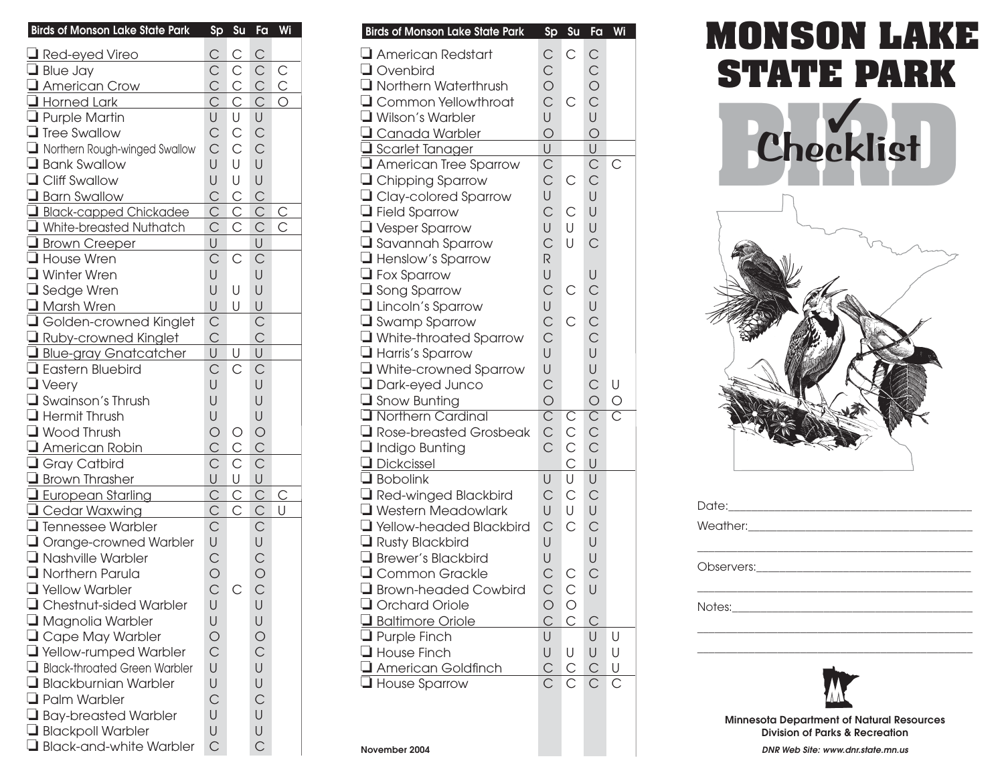| <b>Birds of Monson Lake State Park</b> | Sp             | Su             | Fa             | Wi             |
|----------------------------------------|----------------|----------------|----------------|----------------|
| Red-eyed Vireo                         | $\overline{C}$ | $\overline{C}$ | $\mathsf{C}$   |                |
| $\Box$ Blue Jay                        | $\mathsf{C}$   | $\mathsf{C}$   | $\mathsf{C}$   | $\mathsf{C}$   |
| American Crow                          | $\overline{C}$ | $\overline{C}$ | $\overline{C}$ | $\overline{C}$ |
| Horned Lark                            | $\mathsf{C}$   | $\overline{C}$ | $\mathsf{C}$   | O              |
| Purple Martin                          | U              | U              | U              |                |
| <b>Tree Swallow</b>                    | $\mathsf{C}$   | $\mathsf{C}$   | $\mathsf{C}$   |                |
| Northern Rough-winged Swallow          | $\mathsf{C}$   | $\mathsf{C}$   | $\mathsf{C}$   |                |
| Bank Swallow                           | U              | U              | U              |                |
| <b>Q</b> Cliff Swallow                 | U              | U              | U              |                |
| Barn Swallow                           | $\mathsf{C}$   | $\mathsf{C}$   | $\overline{C}$ |                |
| Black-capped Chickadee                 | $\overline{C}$ | $\overline{C}$ | $\overline{C}$ | $\overline{C}$ |
| White-breasted Nuthatch                | $\mathsf{C}$   | С              | $\overline{C}$ | С              |
| Brown Creeper                          | U              |                | U              |                |
| House Wren                             | $\mathsf{C}$   | С              | $\mathsf{C}$   |                |
| Winter Wren                            | U              |                | U              |                |
| Sedge Wren                             | U              | U              | U              |                |
| $\Box$ Marsh Wren                      | U              | U              | U              |                |
| Golden-crowned Kinglet                 | $\mathsf{C}$   |                | $\mathsf{C}$   |                |
| Ruby-crowned Kinglet                   | $\mathsf{C}$   |                | $\mathsf{C}$   |                |
| <b>Blue-gray Gnatcatcher</b>           | U              | U              | U              |                |
| <b>Eastern Bluebird</b>                | $\mathsf{C}$   | C              | $\mathsf{C}$   |                |
| $\Box$ Veery                           | U              |                | U              |                |
| Swainson's Thrush                      | U              |                | U              |                |
| Hermit Thrush                          | U              |                | U              |                |
| $\Box$ Wood Thrush                     | $\bigcirc$     | О              | $\circ$        |                |
| American Robin                         | $\mathsf{C}$   | $\overline{C}$ | $\mathsf{C}$   |                |
| Gray Catbird                           | $\mathsf{C}$   | $\mathsf{C}$   | $\mathsf{C}$   |                |
| Brown Thrasher                         | U              | U              | U              |                |
| European Starling                      | $\overline{C}$ | $\overline{C}$ | $\mathsf{C}$   | $\mathsf{C}$   |
| Cedar Waxwing                          | $\overline{C}$ | С              | $\overline{C}$ | U              |
| I Tennessee Warbler                    | $\mathsf{C}$   |                | $\mathsf{C}$   |                |
| Orange-crowned Warbler                 | U              |                | $\cup$         |                |
| Nashville Warbler                      | $\mathsf{C}$   |                | $\mathsf{C}$   |                |
| Northern Parula                        | $\overline{O}$ |                | $\circ$        |                |
| Yellow Warbler                         | $\mathsf{C}$   | С              | $\mathsf{C}$   |                |
| $\Box$ Chestnut-sided Warbler          | U              |                | U              |                |
| Magnolia Warbler                       | U              |                | U              |                |
| $\Box$ Cape May Warbler                | $\bigcirc$     |                | $\bigcirc$     |                |
| <b>T</b> Yellow-rumped Warbler         | $\overline{C}$ |                | $\overline{C}$ |                |
| Black-throated Green Warbler           | U              |                | U              |                |
| $\Box$ Blackburnian Warbler            | U              |                | U              |                |
| $\Box$ Palm Warbler                    | $\overline{C}$ |                | $\overline{C}$ |                |
| $\Box$ Bay-breasted Warbler            | U              |                | U              |                |
| Blackpoll Warbler                      | U              |                | U              |                |
| Black-and-white Warbler                | $\mathsf{C}$   |                | $\overline{C}$ |                |

| <b>Birds of Monson Lake State Park</b>   | Sp                             | Su                           | Fa                           | Wi                    |
|------------------------------------------|--------------------------------|------------------------------|------------------------------|-----------------------|
| $\Box$ American Redstart                 | $\mathsf{C}$                   | $\overline{C}$               | $\mathsf{C}$                 |                       |
| Ovenbird                                 | $\mathsf{C}$                   |                              | $\mathsf{C}$                 |                       |
| <b>I</b> Northern Waterthrush            | $\circ$                        |                              | $\circ$                      |                       |
| Common Yellowthroat                      | $\overline{C}$                 | $\mathsf{C}$                 | $\mathsf{C}$                 |                       |
| Wilson's Warbler                         | U                              |                              | U                            |                       |
| Canada Warbler                           | $\overline{O}$                 |                              | $\overline{O}$               |                       |
| Scarlet Tanager                          | $\overline{\bigcup}$           |                              | U                            |                       |
| American Tree Sparrow                    | $\frac{1}{C}$                  |                              | $\overline{C}$               | C                     |
| <b>Q</b> Chipping Sparrow                |                                | C                            |                              |                       |
| <b>Q</b> Clay-colored Sparrow            | U                              |                              | U                            |                       |
| $\Box$ Field Sparrow                     | $\mathsf{C}$                   | С                            | U                            |                       |
| $\Box$ Vesper Sparrow                    | U                              | U                            | U                            |                       |
| Savannah Sparrow                         | $\overline{C}$                 | U                            | $\overline{C}$               |                       |
| Henslow's Sparrow                        | R                              |                              |                              |                       |
| $\Box$ Fox Sparrow                       | U                              |                              | U                            |                       |
| Song Sparrow                             | $\mathsf{C}$                   | С                            | $\mathsf{C}$                 |                       |
| Lincoln's Sparrow                        | U                              |                              | U                            |                       |
| Swamp Sparrow                            | $\mathsf{C}$                   | $\mathsf{C}$                 | $\frac{C}{C}$                |                       |
| White-throated Sparrow                   | $\mathsf{C}$                   |                              |                              |                       |
| $\Box$ Harris's Sparrow                  | U                              |                              | U                            |                       |
| White-crowned Sparrow                    | U                              |                              | U                            |                       |
| Dark-eyed Junco                          | $\mathsf{C}$                   |                              | $\mathsf{C}$                 | U                     |
| $\Box$ Snow Bunting<br>Northern Cardinal | $\overline{O}$                 |                              | $\bigcirc$                   | $\frac{O}{C}$         |
|                                          | $\overline{C}$<br>$\mathsf{C}$ | $\mathsf{C}$                 | $\overline{C}$               |                       |
| Rose-breasted Grosbeak                   | $\overline{C}$                 | $\mathsf{C}$<br>$\mathsf{C}$ | $\mathsf{C}$<br>$\mathsf{C}$ |                       |
| $\Box$ Indigo Bunting<br>Dickcissel      |                                | $\overline{C}$               | U                            |                       |
| Bobolink                                 | U                              | U                            | U                            |                       |
| Red-winged Blackbird                     | $\mathsf{C}$                   | $\mathsf{C}$                 | $\mathsf{C}$                 |                       |
| Western Meadowlark                       | U                              | U                            | U                            |                       |
| Yellow-headed Blackbird                  | $\overline{C}$                 | $\mathsf{C}$                 | $\mathsf{C}$                 |                       |
| Rusty Blackbird                          | U                              |                              | U                            |                       |
| Brewer's Blackbird                       | U                              |                              | U                            |                       |
| Common Grackle                           | $\overline{C}$                 | С                            | $\mathsf{C}$                 |                       |
| Brown-headed Cowbird                     | $\mathsf{C}$                   | $\mathsf{C}$                 | U                            |                       |
| Orchard Oriole                           |                                | $\circ$                      |                              |                       |
| Baltimore Oriole                         | $\frac{0}{0}$                  | $\mathsf{C}$                 | С                            |                       |
| $\Box$ Purple Finch                      | U                              |                              | U                            | U                     |
| $\Box$ House Finch                       | U                              | U                            | U                            | U                     |
| American Goldfinch                       | $\subseteq$                    | $rac{C}{C}$                  | $\overline{C}$               | U                     |
| $\Box$ House Sparrow                     | $\overline{\text{C}}$          |                              | Ć                            | $\overline{\text{C}}$ |
|                                          |                                |                              |                              |                       |
|                                          |                                |                              |                              |                       |
|                                          |                                |                              |                              |                       |
| November 2004                            |                                |                              |                              |                       |

## **MONSON LAKE STATE PARK**





**Minnesota Department of Natural Resources Division of Parks & Recreation** 

**DNR Web Site: [www.dnr.state.mn.us](http://www.dnr.state.mn.us)**